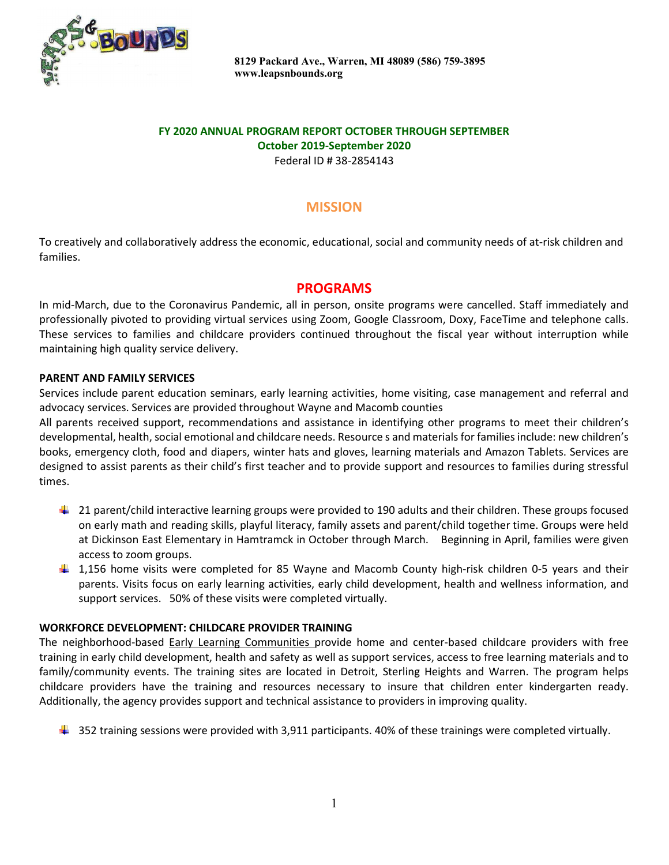

 8129 Packard Ave., Warren, MI 48089 (586) 759-3895 www.leapsnbounds.org

# FY 2020 ANNUAL PROGRAM REPORT OCTOBER THROUGH SEPTEMBER October 2019-September 2020

Federal ID # 38-2854143

# **MISSION**

To creatively and collaboratively address the economic, educational, social and community needs of at-risk children and families.

#### PROGRAMS

In mid-March, due to the Coronavirus Pandemic, all in person, onsite programs were cancelled. Staff immediately and professionally pivoted to providing virtual services using Zoom, Google Classroom, Doxy, FaceTime and telephone calls. These services to families and childcare providers continued throughout the fiscal year without interruption while maintaining high quality service delivery.

#### PARENT AND FAMILY SERVICES

Services include parent education seminars, early learning activities, home visiting, case management and referral and advocacy services. Services are provided throughout Wayne and Macomb counties

All parents received support, recommendations and assistance in identifying other programs to meet their children's developmental, health, social emotional and childcare needs. Resource s and materials for families include: new children's books, emergency cloth, food and diapers, winter hats and gloves, learning materials and Amazon Tablets. Services are designed to assist parents as their child's first teacher and to provide support and resources to families during stressful times.

- <sup>1</sup> 21 parent/child interactive learning groups were provided to 190 adults and their children. These groups focused on early math and reading skills, playful literacy, family assets and parent/child together time. Groups were held at Dickinson East Elementary in Hamtramck in October through March. Beginning in April, families were given access to zoom groups.
- 1,156 home visits were completed for 85 Wayne and Macomb County high-risk children 0-5 years and their parents. Visits focus on early learning activities, early child development, health and wellness information, and support services. 50% of these visits were completed virtually.

#### WORKFORCE DEVELOPMENT: CHILDCARE PROVIDER TRAINING

The neighborhood-based Early Learning Communities provide home and center-based childcare providers with free training in early child development, health and safety as well as support services, access to free learning materials and to family/community events. The training sites are located in Detroit, Sterling Heights and Warren. The program helps childcare providers have the training and resources necessary to insure that children enter kindergarten ready. Additionally, the agency provides support and technical assistance to providers in improving quality.

 $\ddotplus$  352 training sessions were provided with 3,911 participants. 40% of these trainings were completed virtually.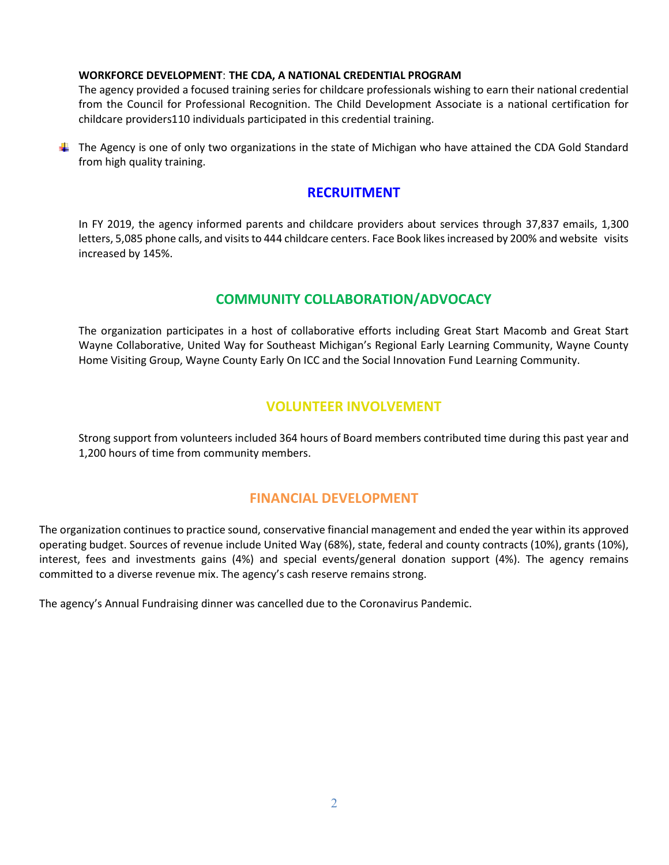#### WORKFORCE DEVELOPMENT: THE CDA, A NATIONAL CREDENTIAL PROGRAM

The agency provided a focused training series for childcare professionals wishing to earn their national credential from the Council for Professional Recognition. The Child Development Associate is a national certification for childcare providers110 individuals participated in this credential training.

The Agency is one of only two organizations in the state of Michigan who have attained the CDA Gold Standard from high quality training.

### RECRUITMENT

In FY 2019, the agency informed parents and childcare providers about services through 37,837 emails, 1,300 letters, 5,085 phone calls, and visits to 444 childcare centers. Face Book likes increased by 200% and website visits increased by 145%.

# COMMUNITY COLLABORATION/ADVOCACY

The organization participates in a host of collaborative efforts including Great Start Macomb and Great Start Wayne Collaborative, United Way for Southeast Michigan's Regional Early Learning Community, Wayne County Home Visiting Group, Wayne County Early On ICC and the Social Innovation Fund Learning Community.

## VOLUNTEER INVOLVEMENT

Strong support from volunteers included 364 hours of Board members contributed time during this past year and 1,200 hours of time from community members.

## FINANCIAL DEVELOPMENT

The organization continues to practice sound, conservative financial management and ended the year within its approved operating budget. Sources of revenue include United Way (68%), state, federal and county contracts (10%), grants (10%), interest, fees and investments gains (4%) and special events/general donation support (4%). The agency remains committed to a diverse revenue mix. The agency's cash reserve remains strong.

The agency's Annual Fundraising dinner was cancelled due to the Coronavirus Pandemic.